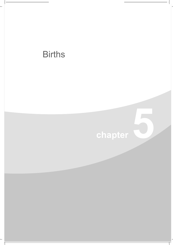# **Births**

# chapter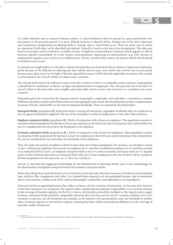

It is often relatively easy to measure business entries, i.e. those businesses that are present in a given period but were not present in the previous period. It is more difficult however to identify births. Perhaps one of the most important and contentious considerations in defining births is 'timing', that is, when births occur. There are many ways in which an enterprise's birth date can be identified and defined. Typically it starts as the idea of an entrepreneur. This idea may then be acted upon and be evolved in a number of ways. It might be incorporated as a business which appears in official business registers immediately or it may remain unincorporated, registering on administrative (e.g. VAT, income or employment) registers once activity is of a sufficient size. Clearly, viewed in this context, the point at which a birth should be defined is non-trivial.

In extremis one might define it as the date at which the initial idea was formed but this is clearly an impractical definition; partly because of the difficulty in defining this date (which may be many years before any activity ever occurs) partly because many ideas never see the light of day but especially because it will be literally impossible to measure this concept in a harmonised way, if at all, within, let alone across, countries.

The concept itself needs to be defined in such a way that, in theory at least, it is replicable across countries, meaning that it should not be conditional, in theory, on legal and administrative arrangements. The only practical way to do this is to record a birth at the point that some tangible and measurable activity occurs and moreover in a consistent way across countries.

Ultimately given the criteria that the measure must be meaningful, comparable, and replicable, a convention is needed. Different conventions satisfy each of these criteria to varying degrees and, as such, this manual proposes three complementary measures of births, which differ on the basis of employee thresholds. These are summarily described below:

**Enterprise births** (population **R**): Enterprise births covering all enterprises, regardless of whether they are employers or not. No general threshold is applied to the size of the enterprise in terms of employment or any other characteristics.

**Employer enterprise births** (population **R**<sub>1</sub>): Births of enterprises with at least one employee. This population consists of enterprise births (population R) that have at least one employee in the birth year and of enterprises that existed before the year in consideration, but were below the threshold of one employee.

**Economic enterprise births** (population  $\mathbf{R}_2$ ): Births of enterprises with at least two employees. This population consists of enterprise births (population R) that have at least two employees in the birth year and of enterprises that existed before the year in consideration, but were below the threshold of two employees.

Thus, the same unit may be recorded as a birth in more than one of these populations. For instance, an enterprise created in year t without any employees that recruits an employee in t+1, and then an additional employee in t+2 would be counted as an enterprise birth in year t, an employer enterprise birth in year t+1 and an economic enterprise birth on t+2. Equally and to further illustrate this point an enterprise birth with two or more employees in the year of birth will be counted in all three populations in the same year, xx, i.e.  $\text{Rxx}, \text{R}_{\text{i}} \text{xx}$  and  $\text{R}_{\text{z}} \text{xx}.$ 

Section 5.1 describes the suggested methodology for the identification of enterprise births, and 5.2 the methodology for the identification of employer enterprise births and economic enterprise births.

Before describing these methods however it is instructive to first describe why three measures of births are recommended here, and how they complement each other. In a nutshell three measures are recommended because, and as mentioned above, each measure, satisfies each of the criteria (meaningful, comparable, and replicable) to varying degrees.

Enterprise births are appealing because they reflect, in theory, all new creations of enterprises. At the same time however of the three measures it is, in practice, the weakest when considering international comparability as it is acutely sensitive to the coverage of business registers, In the EU, in theory, all enterprises should be included on the register and so, again in theory, enterprise births should be comparable. However this is not the case for non-EU countries. Indeed, even in EU countries, in practice, not all enterprises are included, as all countries will operationalise some size threshold or another when a business appears on the business register, meaning that there will be international differences in the coverage of typically smaller enterprises<sup>8</sup>.

<sup>8</sup> Using a minimum level of turnover in addition doesn't really help to address this problem, because of inflation, different purchasing powers and changes in exchange rates.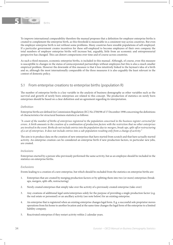

To improve international comparability therefore the manual proposes that a definition for employer enterprise births is created to complement the enterprise birth, as this threshold is measurable in a consistent way across countries. But even the employer enterprise birth is not without some problems. Many countries have sizeable populations of self-employed. If a particular government creates incentives for these self-employed to become employees of their own company the total numbers of employer enterprise births will increase but, arguably, little from an economic and entrepreneurial perspective has changed. This can distort comparisons over time and of course across countries.

As such a third measure, economic enterprise births, is included in this manual. Although, of course, even this measure is susceptible to changes in the status of unincorporated partnerships without employees but this is also a much smaller empirical problem. However the downside of this measure is that it less intuitively linked to the layman's idea of a birth and so, although the most internationally comparable of the three measures it is also arguably the least relevant in the context of domestic policy.

# 5.1 From enterprise creations to enterprise births (population R)

The number of enterprise births is a key variable in the analysis of business demography as other variables such as the survival and growth of newly born enterprises are related to this concept. The production of statistics on newly born enterprises should be based on a clear definition and an agreement regarding its interpretation.

#### *Definition*

Enterprise births are defined (in Commission Regulation (EC) No 2700/98 of 17 December 1998 concerning the definitions of characteristics for structural business statistics) as follows:

"A count of the number of births of enterprises registered to the population concerned in the business register corrected for errors. A birth amounts to the creation of a combination of production factors with the restriction that no other enterprises are involved in the event. Births do not include entries into the population due to: mergers, break-ups, split-off or restructuring of a set of enterprises. It does not include entries into a sub-population resulting only from a change of activity."

The aim is to produce data on the creation of new enterprises that have started from scratch and that have actually started activity. An enterprise creation can be considered an enterprise birth if new production factors, in particular new jobs, are created.

#### *Inclusions*

Enterprises started by a person who previously performed the same activity, but as an employee should be included in the statistics on enterprise births.

#### *Exclusions*

Events leading to a creation of a new enterprise, but which should be excluded from the statistics on enterprise births are:

- 1. Enterprises that are created by merging production factors or by splitting them into two (or more) enterprises (breakups, mergers, split-offs, restructuring)
- 2. Newly created enterprises that simply take over the activity of a previously created enterprise (take-over)
- 3. Any creations of additional legal units/enterprises solely for the purpose of providing a single production factor (e.g. the real estate or personnel) or an ancillary activity (see note below) for an existing enterprise.
- 4. An enterprise that is registered when an existing enterprise changes legal form. E.g. a successful sole proprietor moves operations from his home to another location and at the same time changes the legal form of the enterprise to a limited liability company.
- 5. Reactivated enterprises if they restart activity within 2 calendar years.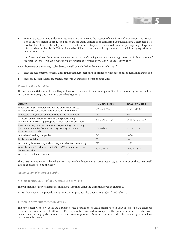6. Temporary associations and joint ventures that do not involve the creation of new factors of production. The proportion of the new factors of production necessary for a joint venture to be considered a birth should be at least half, i.e. if less than half of the total employment of the joint venture enterprise is transferred from the participating enterprises, it is considered to be a birth. This is likely to be difficult to measure with any accuracy, so the following equation can be used as a proxy:

Employment of new (joint venture) enterprise  $> 2 X$  (total employment of participating enterprises before creation of the joint venture – total employment of participating enterprises after creation of the joint venture)

Newly born national or foreign subsidiaries should be included in the enterprise births if:

- 1. They are real enterprises (legal units rather than just local units or branches) with autonomy of decision making; and
- 2. New production factors are created, rather than transferred from another unit.

#### *Note - Ancillary Activities*

The following activities can be ancillary as long as they are carried out in a legal unit within the same group as the legal unit they are serving, and they serve only that legal unit:

| <b>Activity</b>                                                                                                                                        | <b>ISIC Rev. 4 code</b> | NACE Rev. 2 code     |
|--------------------------------------------------------------------------------------------------------------------------------------------------------|-------------------------|----------------------|
| Production of small implements for the production process:<br>Manufacture of tools; Manufacture of other machine tools                                 | 2593 and 2822           | 25.73 and 28.49      |
| Wholesale trade, except of motor vehicles and motorcycles                                                                                              | 46                      | 46                   |
| Transport and warehousing: Freight transport by road;<br>Warehousing and storage; Support activities for transportation                                | 4923; 521 and 522       | 49.41; 52.1 and 52.2 |
| Data processing services: Computer programming, consultancy<br>and related activities; Data processing, hosting and related<br>activities; web portals | 620 and 631             | $62.0$ and $63.1$    |
| Activities of holding companies                                                                                                                        | 642                     | 64.20                |
| Real estate activities                                                                                                                                 | 68                      | 68                   |
| Accounting, bookkeeping and auditing activities; tax consultancy                                                                                       | 692                     | 69.20                |
| Administration: Activities of head offices; Office administrative and<br>support activities                                                            | 7010 and 821            | 70.10 and 82.1       |
| Advertising and market research                                                                                                                        | 73                      | 73                   |

These lists are not meant to be exhaustive. It is possible that, in certain circumstances, activities not on these lists could also be considered to be ancillary.

#### *Identification of enterprise births*

#### $\blacksquare$  Step 1: Population of active enterprises = Nxx

The population of active enterprises should be identified using the definition given in chapter 3.

For further steps in the procedure it is necessary to produce also populations  $N(xx-1)$  and  $N(xx-2)$ .

#### $\blacksquare$  Step 2: New enterprises in year xx

The new enterprises in year xx are a subset of the population of active enterprises in year xx, which have taken up economic activity between 01.01 and 31.12. They can be identified by comparing the population of active enterprises in year xx with the population of active enterprises in year xx-1. New enterprises are identified as enterprises that are only present in year xx.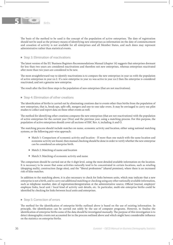

The basis of the method to be used is the concept of the population of active enterprises. The date of registration should not be used as the primary means of identifying new enterprises as information on the date of commencement and cessation of activity is not available for all enterprises and all Member States, and such dates may represent administrative rather than statistical events.

#### $\blacksquare$  Step 3: Elimination of reactivations

The latest version of the EU Business Registers Recommendations Manual (chapter 14) suggests that enterprises dormant for less than two years are considered reactivations and therefore not new enterprises, whereas enterprises reactivated after more than two years are considered to be new.

The most straightforward way to identify reactivations is to compare the new enterprises in year xx with the population of active enterprises in year xx-2. If a new enterprise in year xx was active in year xx-2 then the enterprise is considered reactivated, and not a genuine new enterprise.

The result after the first three steps is the population of new enterprises (that are not reactivations).

#### $\blacksquare$  Step 4: Elimination of other creations

The identification of births is carried out by eliminating creations due to events other than births from the population of new enterprises, that is, break-ups, split-offs, mergers and one-to-one take-overs. It may be envisaged to carry out pilot studies to collect and report data on these other events as well.

The method for identifying other creations compares the new enterprises (that are not reactivations) with the population of active enterprises for the current year (Nxx) and the previous year, using a matching process. For this purpose, the population of active enterprises should cover all sections of ISIC Rev. 4, including A and O.

The matching process should include matches on name, economic activity and location, either using national matching systems, or the following pair-wise approach:

- Match 1: Comparison of economic activity and location If more than one match with the same location and economic activity are found, then manual checking should be done in order to verify whether the new enterprise can be considered an enterprise birth.
- Match 2: Matching of name and location
- $\blacksquare$  Match 3: Matching of economic activity and name

The comparison should be carried out at the 4-digit level, using the most detailed available information on the location. It is necessary to be aware that some activities naturally tend to be concentrated in certain locations, such as retailing (shopping malls), construction (large sites), and the "liberal professions" (shared premises), where there is an increased risk of false matches.

In addition to the matching above, it is also necessary to check for links between units, which may indicate that a new enterprise is not a birth, and to carry out additional matching or checking using any other nationally available information, such as telephone number, date of registration/deregistration at the administrative source, Official Journal, employer/ employee links, local unit / local kind of activity unit details, etc. In particular, multi-site enterprise births could be identified by checking for links between local units and enterprises.

#### ■ Step 5: Correction of errors

The method for the identification of enterprise births outlined above is based on the use of existing information. In principle, the identification can be carried out solely by the use of computer programs. However, to finalise the identification of enterprise births some of the data should be investigated manually. The purpose of this investigation is to detect demographic events not accounted for in the process outlined above and which might have considerable influence on the statistics on enterprise births.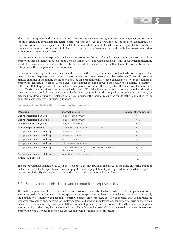

The largest enterprises (within the population of remaining new enterprises) in terms of employment and turnover should be listed and investigated in detail to detect whether the event is a birth. The sources used for this investigation could for instance be newspapers, the Internet, Official Journals, local unit / local kind of activity unit details, or direct contact with the enterprise. As this kind of analysis requires a lot of resources, it should be limited to new enterprises with more than twenty employees.

Further, as many of the enterprise births have no employees in the year of establishment, it is also necessary to check enterprises with no employees but exceptionally high turnover. It is difficult to put an exact limit above which the checking should be performed but exceptionally high turnover could be defined as: higher than twice the average turnover in enterprises without employees in that sector of activity.

If the number of enterprises to be manually checked based on the above guidelines is considered to be too heavy a burden, manual checks of representative samples of the two categories of enterprises should be carried out. The results from the manual checking of the sample should then be raised on a random basis, so that a comparison between the number of enterprises identified as other creations based on the manual checking between the countries is possible. For example, if there are 1000 large potential births, but it is only possible to check a 10% sample (i.e. 100 enterprises), and of these only 20% (i.e. 20 enterprises) turn out to be births, then 20% of the 900 enterprises that were not checked should be chosen at random, and also considered to be births. It is recognised that this might lead to problems of accuracy for detailed breakdowns, but such problems should be minimised if the basis for raising the results of the sample check to the population of large births is sufficiently random.

| Population                      | Information used                                                                    | <b>Number of enterprises</b> |
|---------------------------------|-------------------------------------------------------------------------------------|------------------------------|
| Active enterprises in year xx   | Turnover / employment                                                               | $N_{xx}$                     |
| Active enterprises in year xx-1 | Turnover / employment                                                               | $N_{xx-1}$                   |
| Active enterprises in year xx-2 | Turnover / employment                                                               | $N_{xx-2}$                   |
| New enterprises in year xx      | ID number comparison of $N_{xx}$ with $N_{xx-1}$ and $_{Nxx-2}$                     | $X_{xx}$                     |
| Sub-population from matching    | Location and Sector                                                                 | Х.                           |
| Sub-population from matching    | Location and Name                                                                   | $X_{2}$                      |
| Sub-population from matching    | Sector and Name                                                                     | $X_{3}$                      |
| Sub-population from matching    | Links between legal units                                                           | $X_{4}$                      |
| Sub-population from matching    | Other nationally available information (Official Journal,<br>telephone number etc.) | $X_{5}X_{6}$ etc             |
| Sub-population from matching    | Manual control of large units                                                       | $X_{\overline{z}}$           |
| Enterprise births (R)           |                                                                                     | $R_{xx}$                     |

Summary of the identification process of enterprise births

The sub-populations denoted  $X_1$  to  $X_2$  in the table above are not mutually exclusive, i.e. the same enterprise might be included in several sub-populations. These sub-populations and population  $X_{xx}$  are regarded as intermediate outputs in the process of identifying enterprise births, and are not required to be submitted to Eurostat.

# 5.2 Employer enterprise births and economic enterprise births

The main component of the data on employer and economic enterprise births already exists in the population of all enterprise births (population R). The enterprise births except the units below the employee thresholds cover largely the population of employer and economic enterprise births. However, there are also enterprises that do not reach the employee threshold of one employee for employer enterprise births or 2 employees for economic enterprise births in their first year of economic activity. Enterprise births of non-employer enterprises, for instance, should be counted as employer enterprise births when they become an employers. These "entries by growth" are not covered in the methodology on enterprise births described in section 5.1 above, and so will be described in this section.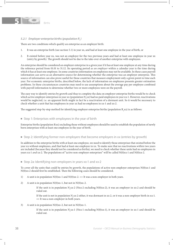

#### *f.2.1 Employer enterprise births (population R<sub>1</sub>)*

There are two conditions which qualify an enterprise as an employer birth:

- 1. It was an enterprise birth (see section 5.1) in year xx, and had at least one employee in the year of birth, or
- 2. It existed before year xx, was not an employer for the two previous years and had at least one employee in year xx (entry by growth). The growth should not be due to the take-over of another enterprise with employees.

An enterprise should be considered an employer enterprise in a given year if it has at least one employee at any time during the reference period from 01.01 to 31.12. Its operating period *as an employer* within a calendar year is the time during which it has at least one employee. In some countries information on employees may not be available. In these cases payroll information can serve as an alternative source for determining whether the enterprise was an employer enterprise. This source of information can also prove useful for those countries that measure employment only a given point in time each year. For economic enterprise births, described below, the lack of information on employees presents greater estimation problems. In these circumstances countries may need to use assumptions about the average pay per employee combined with payroll information to determine whether two or more employees were on the payroll.

The easy way to identify entries by growth and thus to complete the data on employer enterprise births would be to check which active employer enterprises in year xx (population  $N_1xx$ ) had no paid employees in year xx-1. However, reactivations would be neglected, i.e. an apparent birth might in fact be a reactivation of a dormant unit. So it would be necessary to check whether a unit that has employees in year xx had no employees in xx-1 and xx-2.

The suggested step-by-step method for identifying employer enterprise births (population  $\rm R_{1}xx$ ) is as follows:

 $\blacksquare$  Step 1: Enterprises with employees in the year of birth

Enterprise births (population Rxx) excluding those without employees should be used to establish the population of newly born enterprises with at least one employee in the year of birth.

 $\blacksquare$  Step 2: Identifying former non-employers that become employers in xx (entries by growth)

In addition to the enterprise births with at least one employee, we need to identify those enterprises that existed before the year xx without employees, and that had at least one employee in xx. To make sure that no reactivations within two years are included (because they should not be considered as births), we need to check whether these units had no employees in years xx-1 and xx-2. The populations of "active non-employer enterprises" will be called  $N(0)xx-1$  and  $N(0)xx-2$ .

■ Step 2a: Identifying non-employers in years xx-1 and xx-2

To cover all the units that could be entries by growth, the populations of active non-employer enterprises N(0)xx-1 and N(0)xx-2 should first be established. Then the following cases should be considered.

- 1) A unit is in population  $N(0)$ xx-1 and  $N(0)$ xx-2. => It was a non-employer in both years.
- 2) A unit is in population  $N(0)$ xx-1, but not in  $N(0)$ xx-2.

If the unit is in population  $N_1xx$ -2 (Nxx-2 excluding N(0)xx-2), it was an employer in xx-2 and should be ruled out.

If the unit is not in population  $N_1xx$ -2 either, it was dormant in xx-2, or it was a non-employer birth in xx-1. => It was a non-employer in both years.

3) A unit is in population  $N(0)$ xx-2, but not in  $N(0)$ xx-1.

If the unit is in population N<sub>1</sub>xx-1 (Nxx-1 excluding N(0)xx-1), it was an employer in xx-1 and should be ruled out.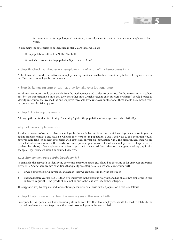

If the unit is not in population  $N_1xx$ -1 either, it was dormant in xx-1.  $\Rightarrow$  It was a non-employer in both years.

In summary, the enterprises to be identified in step 2a are those which are

- $\blacksquare$  in population N(0)xx-1 *or* N(0)xx-2 *or* both
- $\blacksquare$  and which are neither in population N<sub>1</sub>xx-1 nor in N<sub>1</sub>xx-2
- Step 2b: Checking whether non-employers in xx-1 and xx-2 had employees in xx

A check is needed on whether active non-employer enterprises identified by these cases in step 2a had ≥ 1 employee in year xx. If so, they are employer births in year xx.

 $\blacksquare$  Step 2c: Removing enterprises that grew by take-over (optional step)

Results on take-overs should be available from the methodology used to identify enterprise deaths (see section 7.1). Where possible, the information on units that took over other units (which ceased to exist but were not deaths) should be used to identify enterprises that reached the one employee threshold by taking over another one. These should be removed from the population of entries by growth.

 $\blacksquare$  Step 3: Adding up the results

Adding up the units identified in steps 1 and step 2 yields the population of employer enterprise births  $R_{1}xx$ .

#### Why not use a simpler method?

An alternative way of trying to identify employer births would be simply to check which employer enterprises in year xx had no employees in xx-1 and xx-2, i.e. whether they were not in populations  $N_1$ xx-1 and  $N_1$ xx-2. This condition would, however, hold true for all new enterprises with employees in year xx (population Xxx). The disadvantage, then, would be the lack of a check as to whether newly born enterprises in year xx with at least one employee were enterprise births (as described above). New employer enterprises in year xx that emerged from take-overs, mergers, break-ups, split-offs, change of legal form, etc. would be counted as births.

#### *5.2.2 Economic enterprise births (population R2 )*

In principle, the approach to identifying economic enterprise births  $(R_2)$  should be the same as for employer enterprise births  $(R_1)$ . Again, there are two conditions that qualify an enterprise as an economic enterprise birth:

- 1. It was a enterprise birth in year xx, and had at least two employees in the year of birth or
- 2. It existed before year xx, had less than two employees in the previous two years and had at least two employees in year xx (entry by growth). The growth should not be due to the take-over of another enterprise.

The suggested step-by-step method for identifying economic enterprise births (population  $\rm R_{2}xx$ ) is as follows:

 $\blacksquare$  Step 1: Enterprises with at least two employees in the year of birth

Enterprise births (population Rxx), excluding all units with less than two employees, should be used to establish the population of newly born enterprises with at least two employees in the year of birth.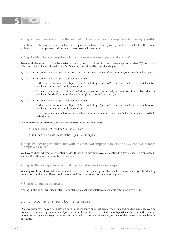

■ Step 2: Identifying enterprises that existed, but had less than two employees (entries by growth)

In addition to enterprise births with at least two employees, we have to identify enterprises that existed before the year xx with less than two employees, and that had at least two employees in xx.

#### ■ Step 2a: Identifying enterprises with no or one employee in years xx-1 and xx-2

To cover all the units that might be entries by growth, the populations of active non-employer enterprises N(0,1)xx-1 and N(0,1)xx-2 should be established. Then the following cases should be considered again.

- 1) A unit is in population  $N(0,1)xx-1$  and  $N(0,1)xx-2.$  => It was active but below the employee threshold in both years.
- 2) A unit is in population  $N(0,1)$ xx-1, but not in  $N(0,1)$ xx-2.

If the unit is in population  $N_2$ xx-2 (Nxx-2 excluding N(0,1)xx-2), it was an employer with at least two employees in xx-2 and should be ruled out.

If the unit is not in population N<sub>2</sub>xx-2 either, it was dormant in xx-2, or it was born in xx-1, but below the employee threshold. => It was below the employee threshold in both years.

3) A unit is in population  $N(0,1)$ xx-2, but not in  $N(0,1)$ xx-1.

If the unit is in population  $N_2$ xx-1 (Nxx-2 excluding N(0,1)xx-1), it was an employer with at least two employees in xx-1 and should be ruled out.

If the unit is not in population N<sub>2</sub>xx-1 either, it was dormant in xx-1.  $\Rightarrow$  It was below the employee threshold in both years.

In summary, the enterprises to be identified in step 2a are those which are

- $\blacksquare$  in population N(0,1)xx-1 *or* N(0,1)xx-2 *or* both
- $\blacksquare$  and which are neither in population N<sub>2</sub>xx-1 nor in N<sub>2</sub>xx-2
- Step 2b: Checking whether units with less than two employees in xx-1 and xx-2 had two or more employees in xx

We have to check whether active enterprises with less than two employees as identified in step 2a had  $\geq 2$  employees in year xx. If so, they are economic births in year xx.

 $\blacksquare$  Step 2c: Removing enterprises that grew by take-over (optional step)

Where possible, results on take-overs should be used to identify enterprises that reached the two employee threshold by taking over another one. These should be removed from the population of entries by growth.

 $\blacksquare$  Step 3: Adding up the results

Adding up the units identified in steps 1 and step 2 yields the population of economic enterprise births  $\rm R_{_2}xx$ .

## 5.3 Employment in newly born enterprises

Once we know how many enterprises are born in the economy, an assessment of their impact should be made. This can be evaluated by measuring the number of jobs or the additional turnover created. There is particular interest in the number of jobs created by new enterprises as well as the actual volume of work created, as some of the created jobs may be only part time.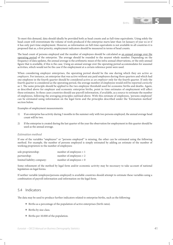To meet this demand, data should ideally be provided both as head counts and as full-time equivalents. Using solely the head count will overestimate the volume of work produced if the enterprise starts later than 1st January of year xx or if it has only part-time employment. However, as information on full-time equivalents is not available in all countries it is proposed that as, a first priority, employment indicators should be measured in terms of head counts.

The head count of persons employed and the number of employees should be calculated as an annual average over the operating period of the enterprise. The average should be rounded to the nearest whole number. Depending on the frequency of data updates, the annual average is the arithmetic mean of the infra-annual observations, or the only annual figure that is available, if this is the case. Using an annual average over the operating period accommodates for seasonal activities, which would not be the case if the employment at a certain reference point were used.

When considering employer enterprises, the operating period should be the one during which they are active as employers. For instance, an enterprise that was active without any paid employees during three quarters and which had one employee in the fourth quarter should be considered active as an employer only for the fourth quarter. If only the fourth quarter is considered as the operating period, the average number of employees would still be reported correctly as 1. The same principle should be applied to the two employee threshold used for economic births and deaths. Again, as described above for employer and economic enterprise births, point in time estimates of employment will affect these estimates. In these cases countries should use payroll information, if available, as a source to estimate the number of employees, following the averaging principles outlined above. With this estimate of employees, 'persons employed' can be estimated using information on the legal form and the principles described under the 'Estimation method' section below.

Examples of employment measurements:

- 1) If an enterprise has activity during 3 months in the summer only with two persons employed, the annual average head count will be two.
- 2) If the enterprise is created during the last quarter of the year the observation for employment in this quarter should be used as the annual average.

#### *Estimation method*

If one of the variables "employees" or "persons employed" is missing, the other can be estimated using the following method. For example, the number of persons employed is simply estimated by adding an estimate of the number of working proprietors to the number of employees:

| sole proprietorship:       | number of employees $+1$ |
|----------------------------|--------------------------|
| partnership:               | number of employees $+2$ |
| limited liability company: | number of employees $+0$ |

Some refinement of the method by legal form and/or economic activity may be necessary to take account of national legislation on legal forms.

If neither variable (employee/persons employed) is available countries should attempt to estimate these variables using a combination of payroll information and information on the legal form.

## 5.4 Indicators

The data may be used to produce further indicators related to enterprise births, such as the following:

- $\blacksquare$  Births as a percentage of the population of active enterprises (birth rates).
- $\blacksquare$  Births by size class.
- $\blacksquare$  Births per 10.000 of the population.